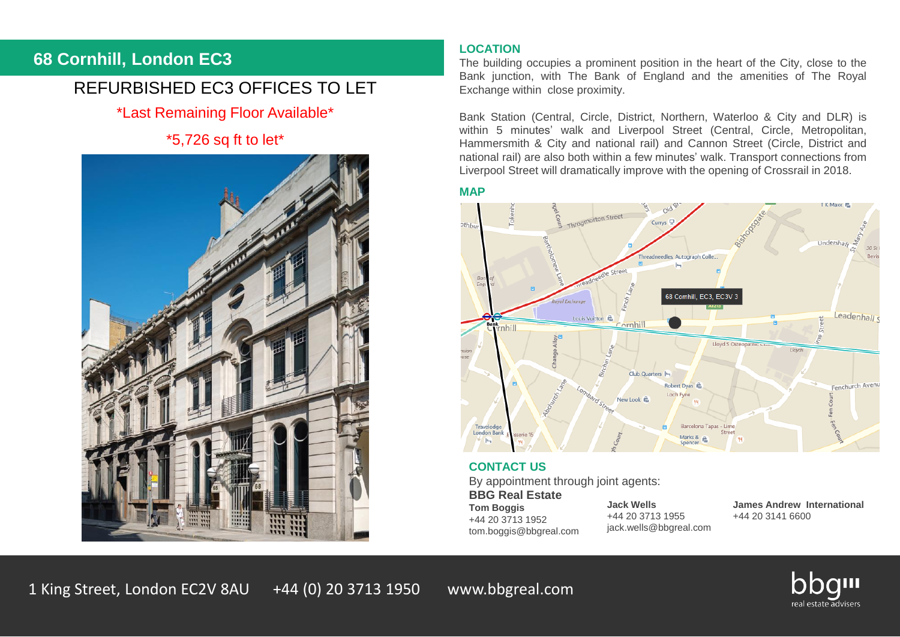### **68 Cornhill, London EC3**

## REFURBISHED EC3 OFFICES TO LET

\*Last Remaining Floor Available\*

### \*5,726 sq ft to let\*



#### **LOCATION**

The building occupies a prominent position in the heart of the City, close to the Bank junction, with The Bank of England and the amenities of The Royal Exchange within close proximity.

Bank Station (Central, Circle, District, Northern, Waterloo & City and DLR) is within 5 minutes' walk and Liverpool Street (Central, Circle, Metropolitan, Hammersmith & City and national rail) and Cannon Street (Circle, District and national rail) are also both within a few minutes' walk. Transport connections from Liverpool Street will dramatically improve with the opening of Crossrail in 2018.

#### **MAP**



#### **CONTACT US**

By appointment through joint agents:

**BBG Real Estate Tom Boggis** +44 20 3713 1952 tom.boggis@bbgreal.com

**Jack Wells** +44 20 3713 1955 jack.wells@bbgreal.com **James Andrew International** +44 20 3141 6600

1 King Street, London EC2V 8AU +44 (0) 20 3713 1950 www.bbgreal.com

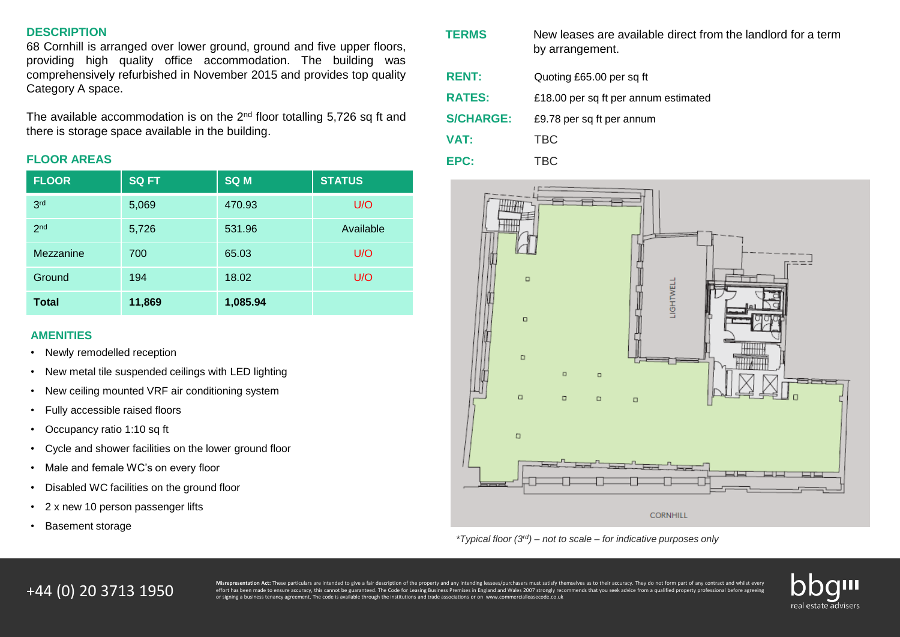#### **DESCRIPTION**

68 Cornhill is arranged over lower ground, ground and five upper floors, providing high quality office accommodation. The building was comprehensively refurbished in November 2015 and provides top quality Category A space.

The available accommodation is on the 2 $^{\text{nd}}$  floor totalling 5,726 sq ft and there is storage space available in the building.

#### **FLOOR AREAS**

| <b>FLOOR</b>    | <b>SQ FT</b> | <b>SQ M</b> | <b>STATUS</b> |
|-----------------|--------------|-------------|---------------|
| 3 <sub>rd</sub> | 5,069        | 470.93      | U/O           |
| 2 <sub>nd</sub> | 5,726        | 531.96      | Available     |
| Mezzanine       | 700          | 65.03       | U/O           |
| Ground          | 194          | 18.02       | U/O           |
| Total           | 11,869       | 1,085.94    |               |

#### **AMENITIES**

- Newly remodelled reception
- New metal tile suspended ceilings with LED lighting
- New ceiling mounted VRF air conditioning system
- Fully accessible raised floors
- Occupancy ratio 1:10 sq ft
- Cycle and shower facilities on the lower ground floor
- Male and female WC's on every floor
- Disabled WC facilities on the ground floor
- 2 x new 10 person passenger lifts
- Basement storage

| <b>TERMS</b>     | New leases are available direct from the landlord for a term<br>by arrangement. |
|------------------|---------------------------------------------------------------------------------|
| <b>RENT:</b>     | Quoting £65.00 per sq ft                                                        |
| <b>RATES:</b>    | £18.00 per sq ft per annum estimated                                            |
| <b>S/CHARGE:</b> | £9.78 per sq ft per annum                                                       |
| <b>VAT:</b>      | TBC                                                                             |
| EPC:             | TBC                                                                             |



*\*Typical floor (3rd) – not to scale – for indicative purposes only*

# +44 (0) 20 3713 1950

Misrepresentation Act: These particulars are intended to give a fair description of the property and any intending lessees/purchasers must satisfy themselves as to their accuracy. They do not form part of any contract and effort has been made to ensure accuracy, this cannot be guaranteed. The Code for Leasing Business Premises in England and Wales 2007 strongly recommends that you seek advice from a qualified property professional before ag or signing a business tenancy agreement. The code is available through the institutions and trade associations or on www.commercialleasecode.co.uk